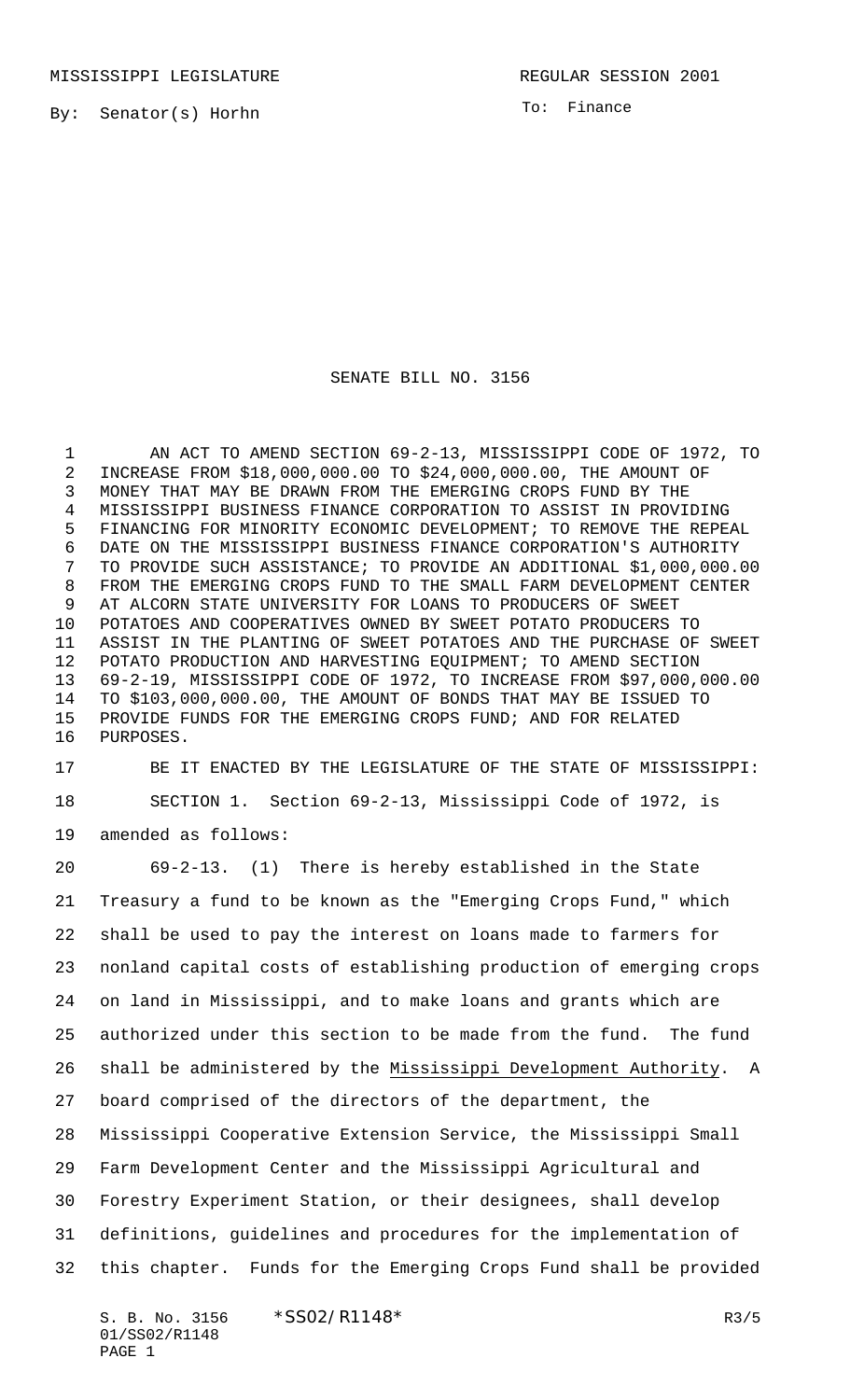By: Senator(s) Horhn

To: Finance

## SENATE BILL NO. 3156

 AN ACT TO AMEND SECTION 69-2-13, MISSISSIPPI CODE OF 1972, TO INCREASE FROM \$18,000,000.00 TO \$24,000,000.00, THE AMOUNT OF MONEY THAT MAY BE DRAWN FROM THE EMERGING CROPS FUND BY THE MISSISSIPPI BUSINESS FINANCE CORPORATION TO ASSIST IN PROVIDING FINANCING FOR MINORITY ECONOMIC DEVELOPMENT; TO REMOVE THE REPEAL DATE ON THE MISSISSIPPI BUSINESS FINANCE CORPORATION'S AUTHORITY TO PROVIDE SUCH ASSISTANCE; TO PROVIDE AN ADDITIONAL \$1,000,000.00 FROM THE EMERGING CROPS FUND TO THE SMALL FARM DEVELOPMENT CENTER AT ALCORN STATE UNIVERSITY FOR LOANS TO PRODUCERS OF SWEET POTATOES AND COOPERATIVES OWNED BY SWEET POTATO PRODUCERS TO ASSIST IN THE PLANTING OF SWEET POTATOES AND THE PURCHASE OF SWEET POTATO PRODUCTION AND HARVESTING EQUIPMENT; TO AMEND SECTION 69-2-19, MISSISSIPPI CODE OF 1972, TO INCREASE FROM \$97,000,000.00 TO \$103,000,000.00, THE AMOUNT OF BONDS THAT MAY BE ISSUED TO PROVIDE FUNDS FOR THE EMERGING CROPS FUND; AND FOR RELATED PURPOSES.

 BE IT ENACTED BY THE LEGISLATURE OF THE STATE OF MISSISSIPPI: SECTION 1. Section 69-2-13, Mississippi Code of 1972, is amended as follows:

 69-2-13. (1) There is hereby established in the State Treasury a fund to be known as the "Emerging Crops Fund," which shall be used to pay the interest on loans made to farmers for nonland capital costs of establishing production of emerging crops on land in Mississippi, and to make loans and grants which are authorized under this section to be made from the fund. The fund shall be administered by the Mississippi Development Authority. A board comprised of the directors of the department, the Mississippi Cooperative Extension Service, the Mississippi Small Farm Development Center and the Mississippi Agricultural and Forestry Experiment Station, or their designees, shall develop definitions, guidelines and procedures for the implementation of this chapter. Funds for the Emerging Crops Fund shall be provided

S. B. No. 3156 \* SSO2/R1148\* R3/5 01/SS02/R1148 PAGE 1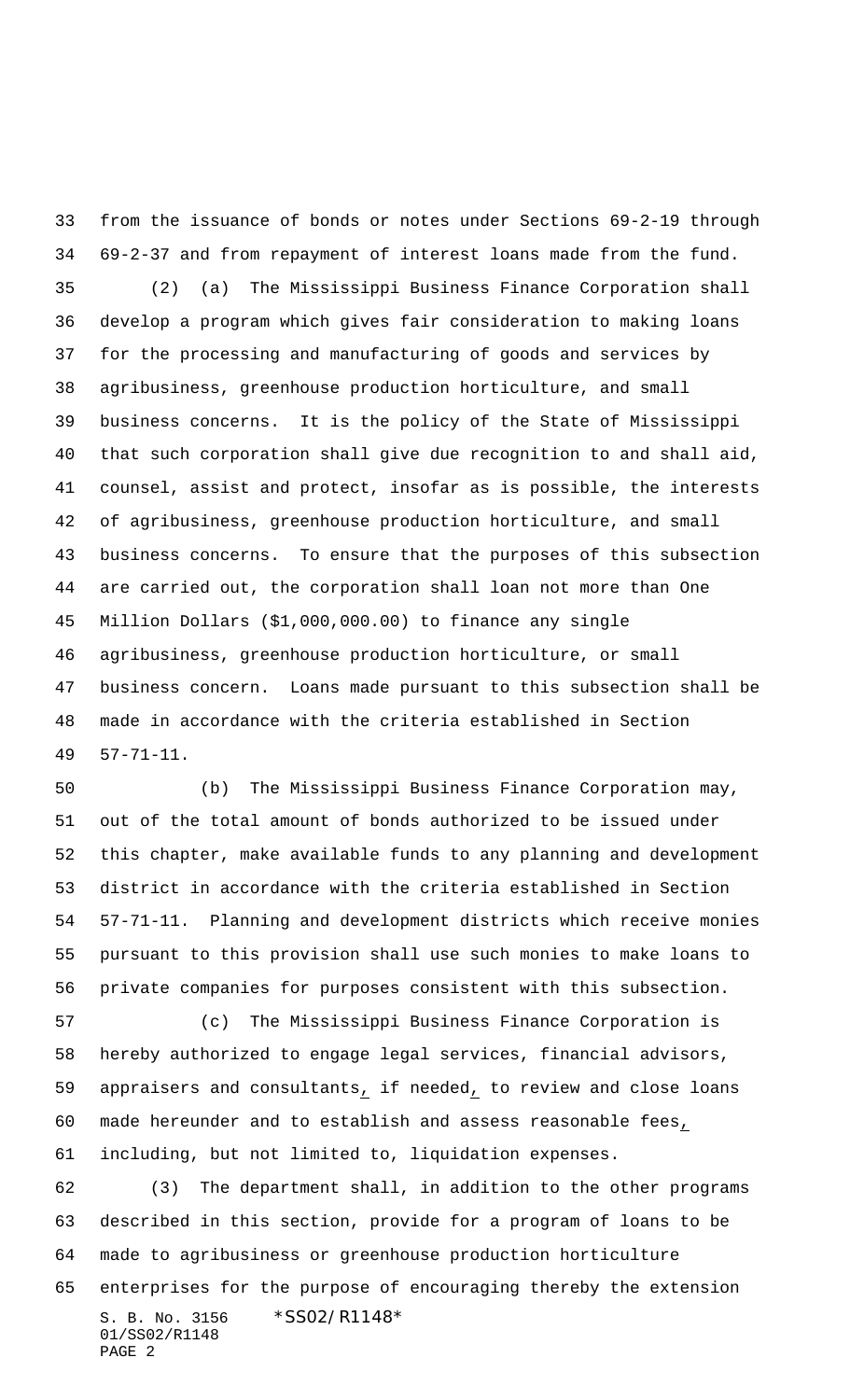from the issuance of bonds or notes under Sections 69-2-19 through 69-2-37 and from repayment of interest loans made from the fund. (2) (a) The Mississippi Business Finance Corporation shall develop a program which gives fair consideration to making loans for the processing and manufacturing of goods and services by agribusiness, greenhouse production horticulture, and small business concerns. It is the policy of the State of Mississippi that such corporation shall give due recognition to and shall aid, counsel, assist and protect, insofar as is possible, the interests of agribusiness, greenhouse production horticulture, and small business concerns. To ensure that the purposes of this subsection are carried out, the corporation shall loan not more than One Million Dollars (\$1,000,000.00) to finance any single agribusiness, greenhouse production horticulture, or small business concern. Loans made pursuant to this subsection shall be made in accordance with the criteria established in Section 57-71-11.

 (b) The Mississippi Business Finance Corporation may, out of the total amount of bonds authorized to be issued under this chapter, make available funds to any planning and development district in accordance with the criteria established in Section 57-71-11. Planning and development districts which receive monies pursuant to this provision shall use such monies to make loans to private companies for purposes consistent with this subsection.

 (c) The Mississippi Business Finance Corporation is hereby authorized to engage legal services, financial advisors, appraisers and consultants, if needed, to review and close loans made hereunder and to establish and assess reasonable fees, including, but not limited to, liquidation expenses.

S. B. No. 3156 \*SS02/R1148\* 01/SS02/R1148 PAGE 2 (3) The department shall, in addition to the other programs described in this section, provide for a program of loans to be made to agribusiness or greenhouse production horticulture enterprises for the purpose of encouraging thereby the extension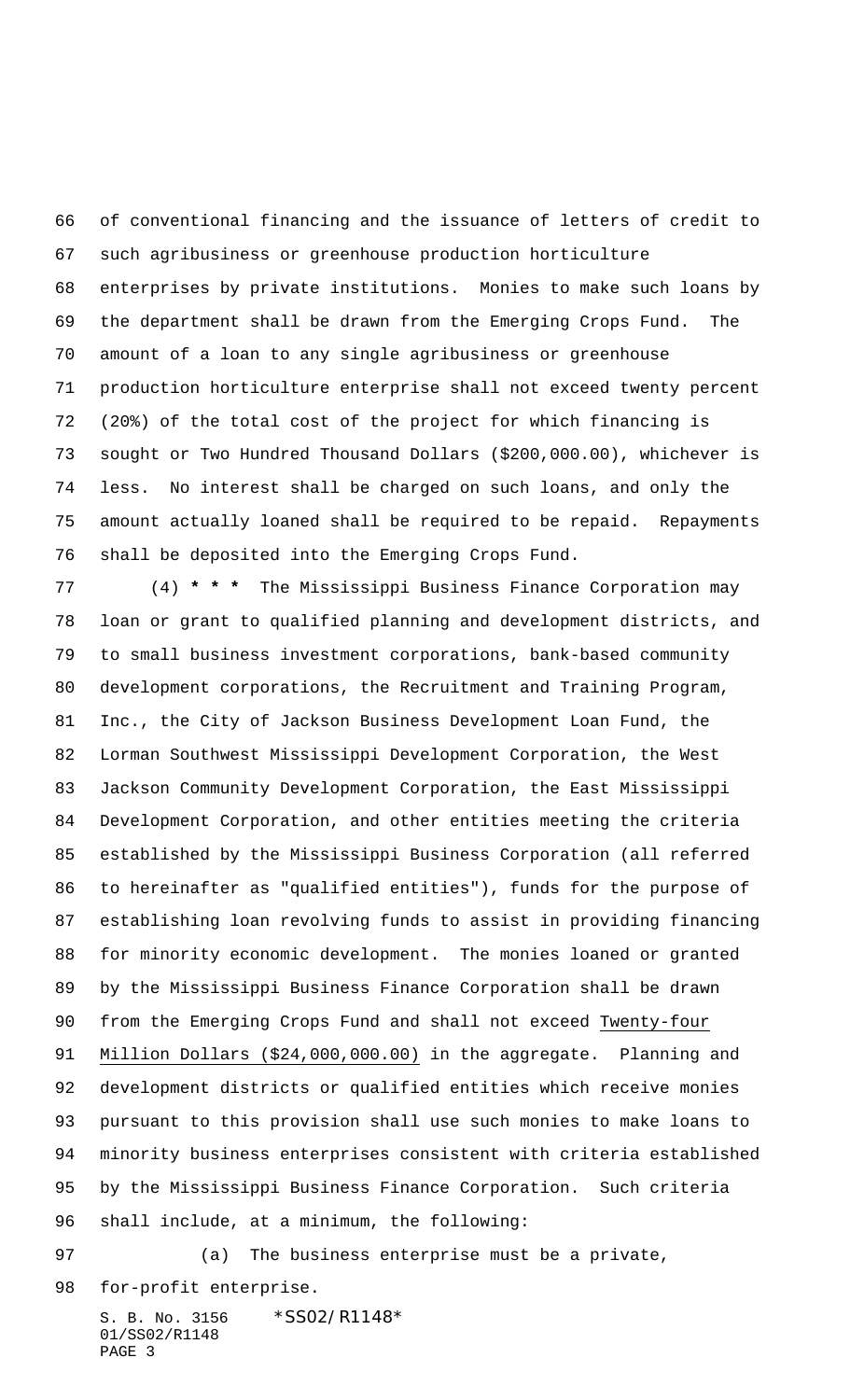of conventional financing and the issuance of letters of credit to such agribusiness or greenhouse production horticulture enterprises by private institutions. Monies to make such loans by the department shall be drawn from the Emerging Crops Fund. The amount of a loan to any single agribusiness or greenhouse production horticulture enterprise shall not exceed twenty percent (20%) of the total cost of the project for which financing is sought or Two Hundred Thousand Dollars (\$200,000.00), whichever is less. No interest shall be charged on such loans, and only the amount actually loaned shall be required to be repaid. Repayments shall be deposited into the Emerging Crops Fund.

 (4) **\* \* \*** The Mississippi Business Finance Corporation may loan or grant to qualified planning and development districts, and to small business investment corporations, bank-based community development corporations, the Recruitment and Training Program, Inc., the City of Jackson Business Development Loan Fund, the Lorman Southwest Mississippi Development Corporation, the West Jackson Community Development Corporation, the East Mississippi Development Corporation, and other entities meeting the criteria established by the Mississippi Business Corporation (all referred to hereinafter as "qualified entities"), funds for the purpose of establishing loan revolving funds to assist in providing financing for minority economic development. The monies loaned or granted by the Mississippi Business Finance Corporation shall be drawn from the Emerging Crops Fund and shall not exceed Twenty-four Million Dollars (\$24,000,000.00) in the aggregate. Planning and development districts or qualified entities which receive monies pursuant to this provision shall use such monies to make loans to minority business enterprises consistent with criteria established by the Mississippi Business Finance Corporation. Such criteria shall include, at a minimum, the following:

 (a) The business enterprise must be a private, for-profit enterprise.

S. B. No. 3156 \*SS02/R1148\* 01/SS02/R1148 PAGE 3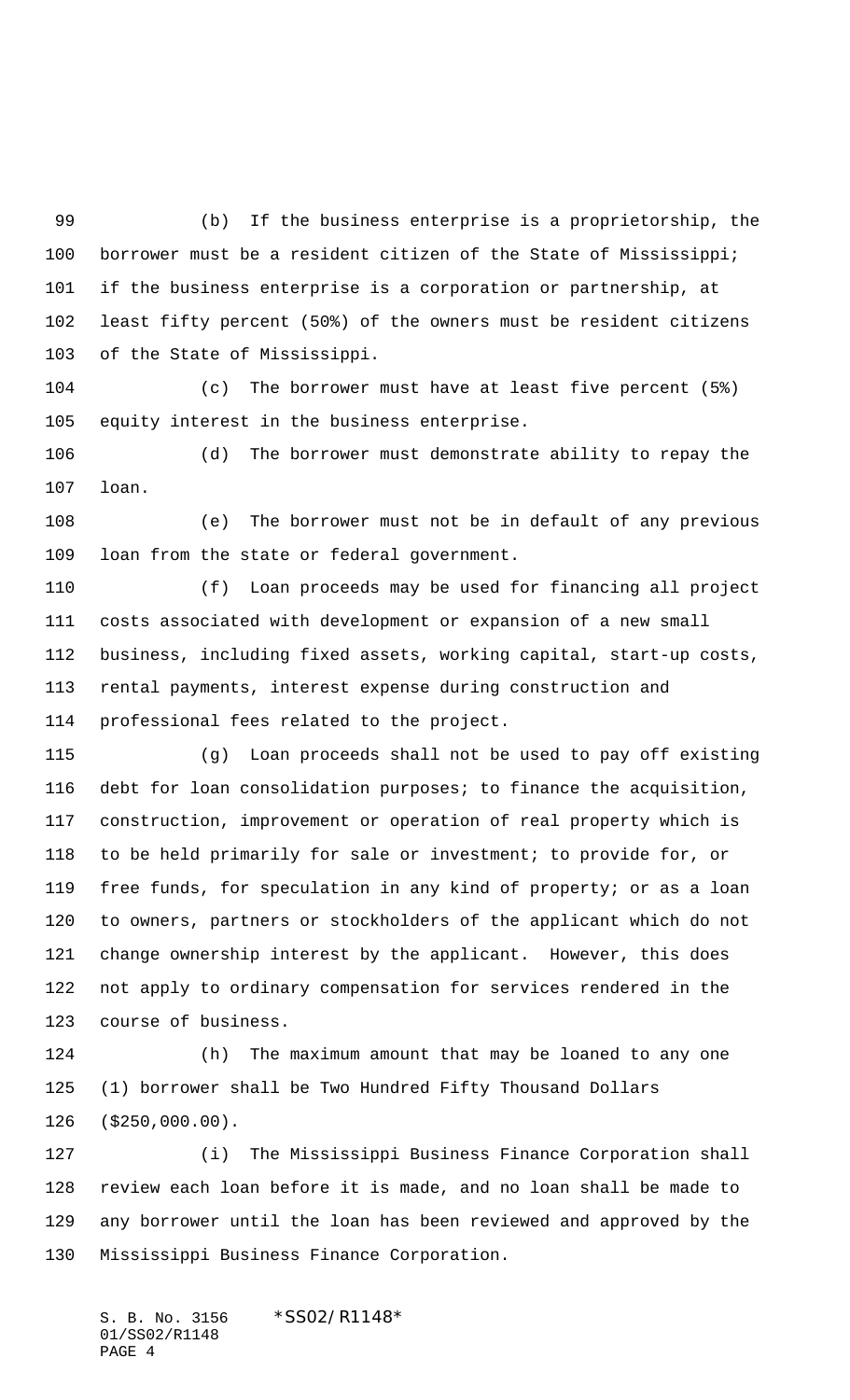(b) If the business enterprise is a proprietorship, the borrower must be a resident citizen of the State of Mississippi; if the business enterprise is a corporation or partnership, at least fifty percent (50%) of the owners must be resident citizens of the State of Mississippi.

 (c) The borrower must have at least five percent (5%) equity interest in the business enterprise.

 (d) The borrower must demonstrate ability to repay the loan.

 (e) The borrower must not be in default of any previous loan from the state or federal government.

 (f) Loan proceeds may be used for financing all project costs associated with development or expansion of a new small business, including fixed assets, working capital, start-up costs, rental payments, interest expense during construction and professional fees related to the project.

 (g) Loan proceeds shall not be used to pay off existing debt for loan consolidation purposes; to finance the acquisition, construction, improvement or operation of real property which is to be held primarily for sale or investment; to provide for, or free funds, for speculation in any kind of property; or as a loan to owners, partners or stockholders of the applicant which do not change ownership interest by the applicant. However, this does not apply to ordinary compensation for services rendered in the course of business.

 (h) The maximum amount that may be loaned to any one (1) borrower shall be Two Hundred Fifty Thousand Dollars (\$250,000.00).

 (i) The Mississippi Business Finance Corporation shall review each loan before it is made, and no loan shall be made to any borrower until the loan has been reviewed and approved by the Mississippi Business Finance Corporation.

S. B. No. 3156 \*SS02/R1148\* 01/SS02/R1148 PAGE 4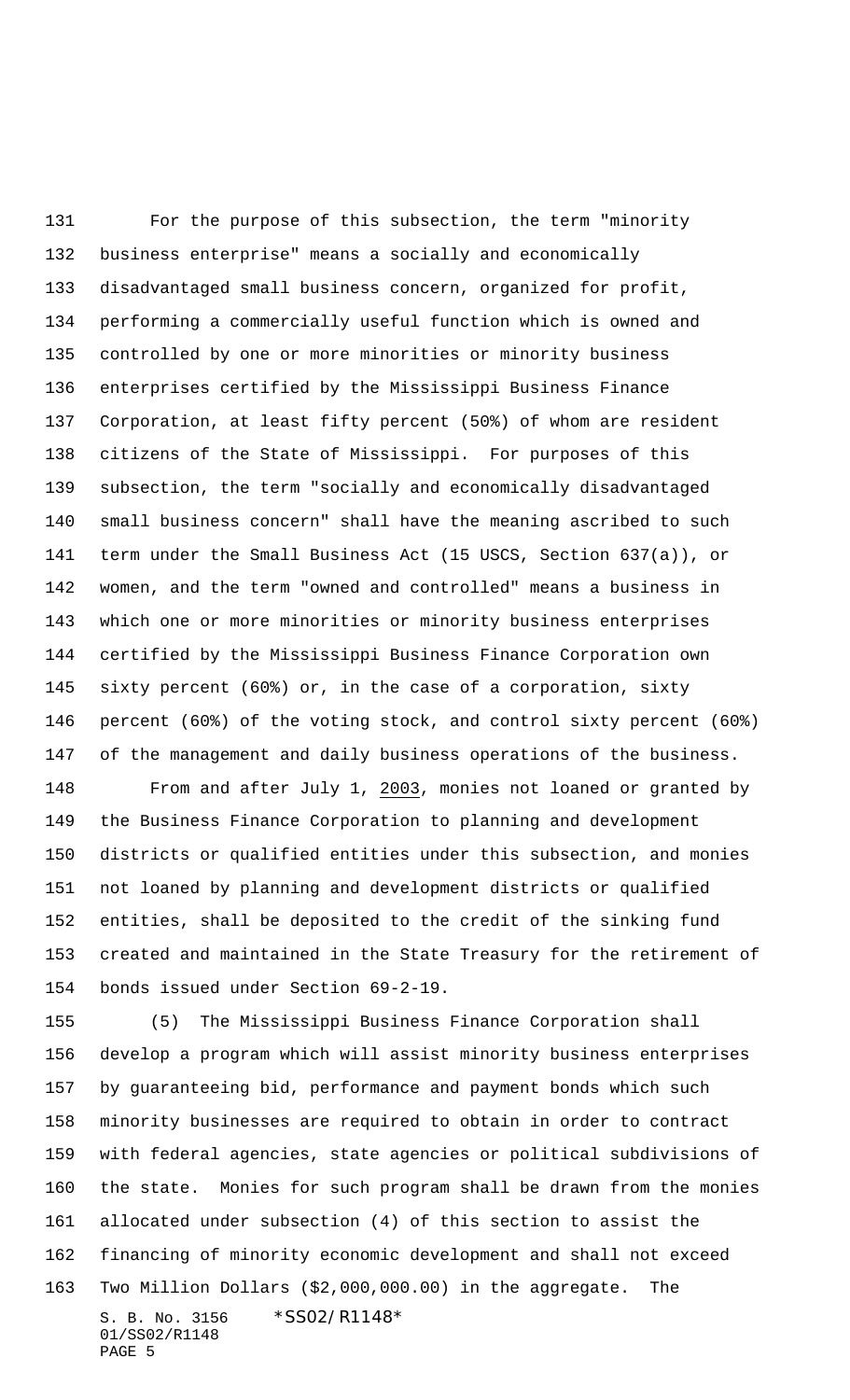For the purpose of this subsection, the term "minority business enterprise" means a socially and economically disadvantaged small business concern, organized for profit, performing a commercially useful function which is owned and controlled by one or more minorities or minority business enterprises certified by the Mississippi Business Finance Corporation, at least fifty percent (50%) of whom are resident citizens of the State of Mississippi. For purposes of this subsection, the term "socially and economically disadvantaged small business concern" shall have the meaning ascribed to such term under the Small Business Act (15 USCS, Section 637(a)), or women, and the term "owned and controlled" means a business in which one or more minorities or minority business enterprises certified by the Mississippi Business Finance Corporation own sixty percent (60%) or, in the case of a corporation, sixty percent (60%) of the voting stock, and control sixty percent (60%) of the management and daily business operations of the business.

 From and after July 1, 2003, monies not loaned or granted by the Business Finance Corporation to planning and development districts or qualified entities under this subsection, and monies not loaned by planning and development districts or qualified entities, shall be deposited to the credit of the sinking fund created and maintained in the State Treasury for the retirement of bonds issued under Section 69-2-19.

S. B. No. 3156 \*SS02/R1148\* 01/SS02/R1148 (5) The Mississippi Business Finance Corporation shall develop a program which will assist minority business enterprises by guaranteeing bid, performance and payment bonds which such minority businesses are required to obtain in order to contract with federal agencies, state agencies or political subdivisions of the state. Monies for such program shall be drawn from the monies allocated under subsection (4) of this section to assist the financing of minority economic development and shall not exceed Two Million Dollars (\$2,000,000.00) in the aggregate. The

PAGE 5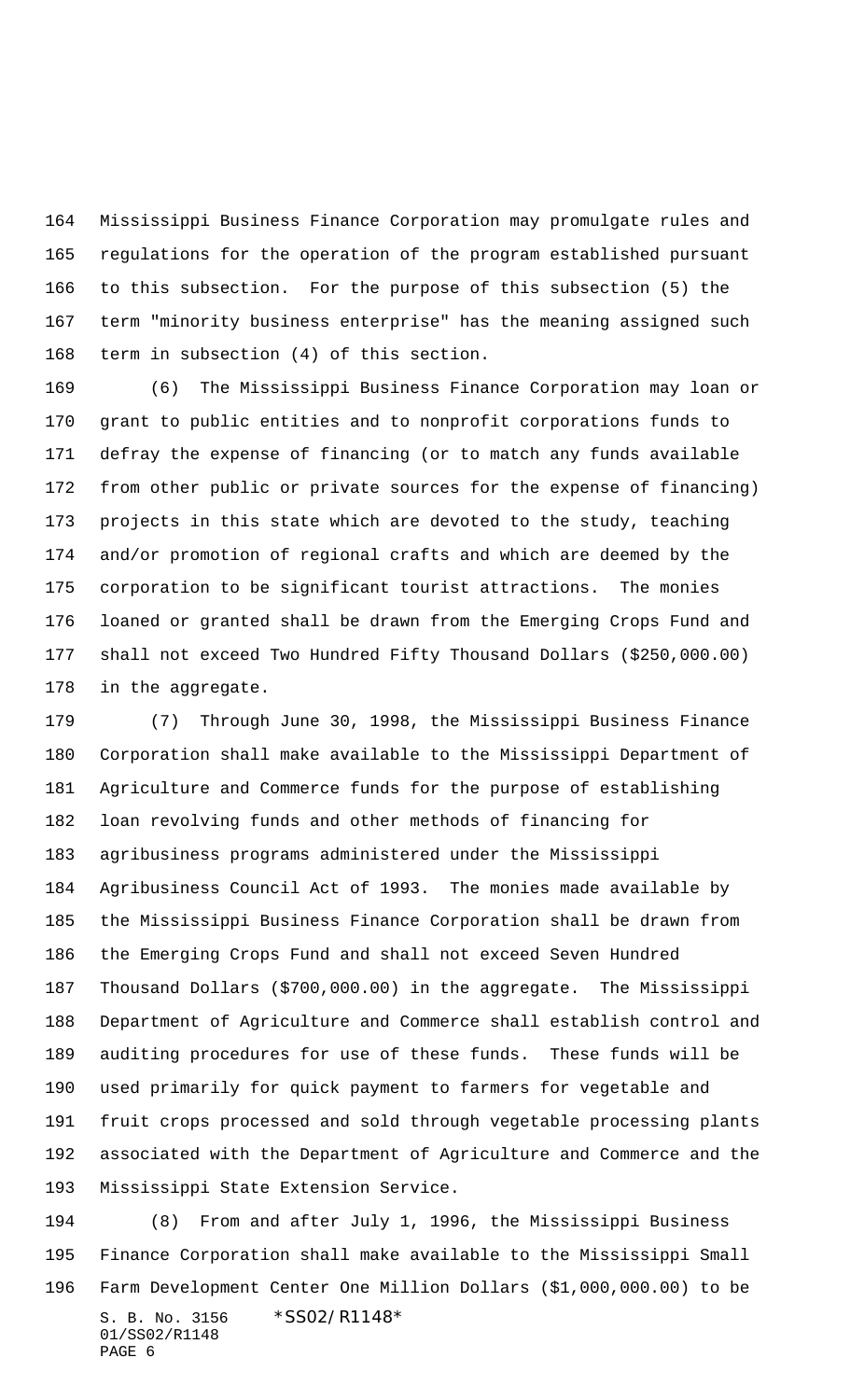Mississippi Business Finance Corporation may promulgate rules and regulations for the operation of the program established pursuant to this subsection. For the purpose of this subsection (5) the term "minority business enterprise" has the meaning assigned such term in subsection (4) of this section.

 (6) The Mississippi Business Finance Corporation may loan or grant to public entities and to nonprofit corporations funds to defray the expense of financing (or to match any funds available from other public or private sources for the expense of financing) projects in this state which are devoted to the study, teaching and/or promotion of regional crafts and which are deemed by the corporation to be significant tourist attractions. The monies loaned or granted shall be drawn from the Emerging Crops Fund and shall not exceed Two Hundred Fifty Thousand Dollars (\$250,000.00) in the aggregate.

 (7) Through June 30, 1998, the Mississippi Business Finance Corporation shall make available to the Mississippi Department of Agriculture and Commerce funds for the purpose of establishing loan revolving funds and other methods of financing for agribusiness programs administered under the Mississippi Agribusiness Council Act of 1993. The monies made available by the Mississippi Business Finance Corporation shall be drawn from the Emerging Crops Fund and shall not exceed Seven Hundred Thousand Dollars (\$700,000.00) in the aggregate. The Mississippi Department of Agriculture and Commerce shall establish control and auditing procedures for use of these funds. These funds will be used primarily for quick payment to farmers for vegetable and fruit crops processed and sold through vegetable processing plants associated with the Department of Agriculture and Commerce and the Mississippi State Extension Service.

S. B. No. 3156 \*SS02/R1148\* 01/SS02/R1148 PAGE 6 (8) From and after July 1, 1996, the Mississippi Business Finance Corporation shall make available to the Mississippi Small Farm Development Center One Million Dollars (\$1,000,000.00) to be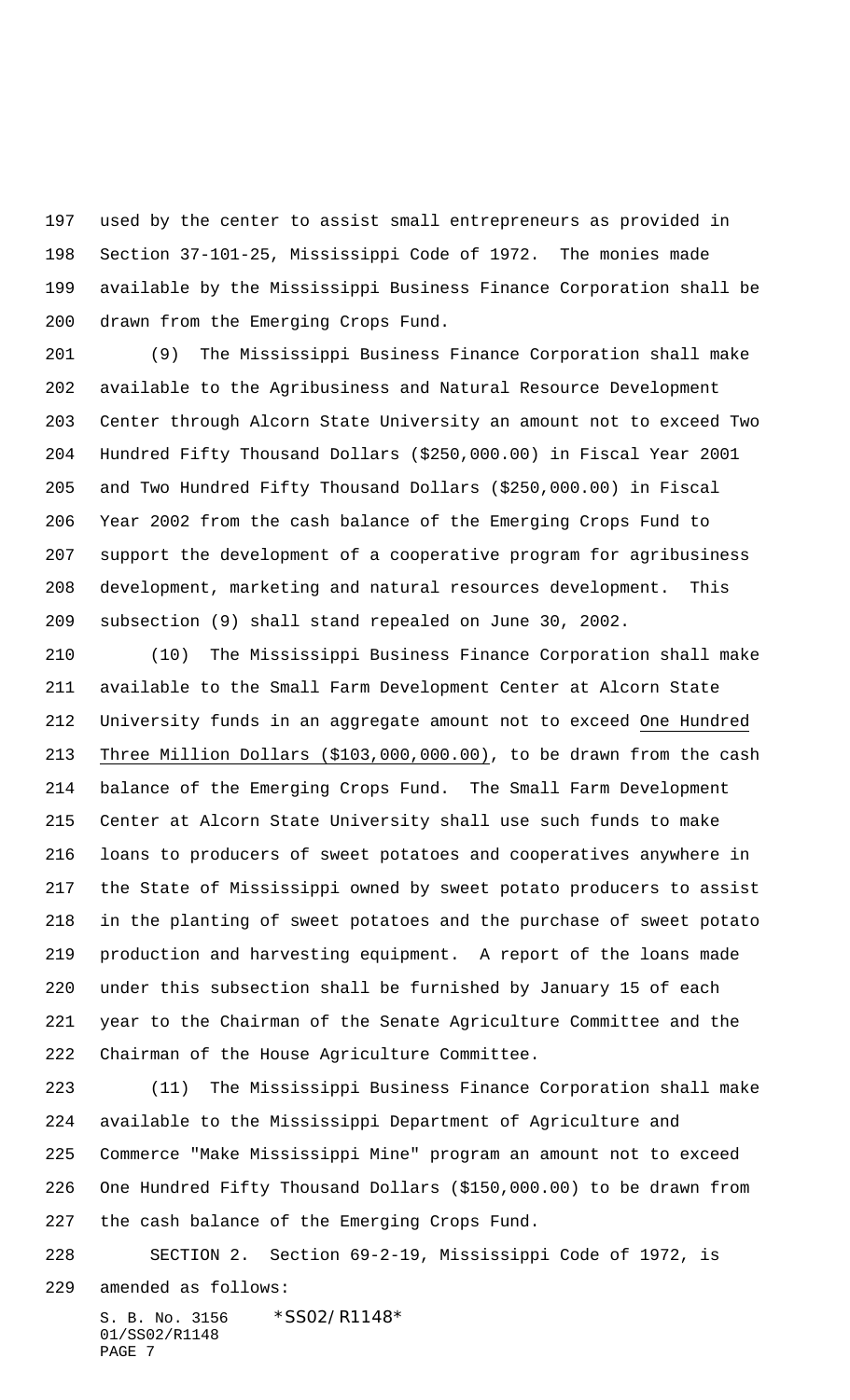used by the center to assist small entrepreneurs as provided in Section 37-101-25, Mississippi Code of 1972. The monies made available by the Mississippi Business Finance Corporation shall be drawn from the Emerging Crops Fund.

 (9) The Mississippi Business Finance Corporation shall make available to the Agribusiness and Natural Resource Development Center through Alcorn State University an amount not to exceed Two Hundred Fifty Thousand Dollars (\$250,000.00) in Fiscal Year 2001 and Two Hundred Fifty Thousand Dollars (\$250,000.00) in Fiscal Year 2002 from the cash balance of the Emerging Crops Fund to support the development of a cooperative program for agribusiness development, marketing and natural resources development. This subsection (9) shall stand repealed on June 30, 2002.

 (10) The Mississippi Business Finance Corporation shall make available to the Small Farm Development Center at Alcorn State University funds in an aggregate amount not to exceed One Hundred Three Million Dollars (\$103,000,000.00), to be drawn from the cash balance of the Emerging Crops Fund. The Small Farm Development Center at Alcorn State University shall use such funds to make loans to producers of sweet potatoes and cooperatives anywhere in the State of Mississippi owned by sweet potato producers to assist in the planting of sweet potatoes and the purchase of sweet potato production and harvesting equipment. A report of the loans made under this subsection shall be furnished by January 15 of each year to the Chairman of the Senate Agriculture Committee and the Chairman of the House Agriculture Committee.

 (11) The Mississippi Business Finance Corporation shall make available to the Mississippi Department of Agriculture and Commerce "Make Mississippi Mine" program an amount not to exceed One Hundred Fifty Thousand Dollars (\$150,000.00) to be drawn from the cash balance of the Emerging Crops Fund.

 SECTION 2. Section 69-2-19, Mississippi Code of 1972, is amended as follows:

S. B. No. 3156 \*SS02/R1148\* 01/SS02/R1148 PAGE 7